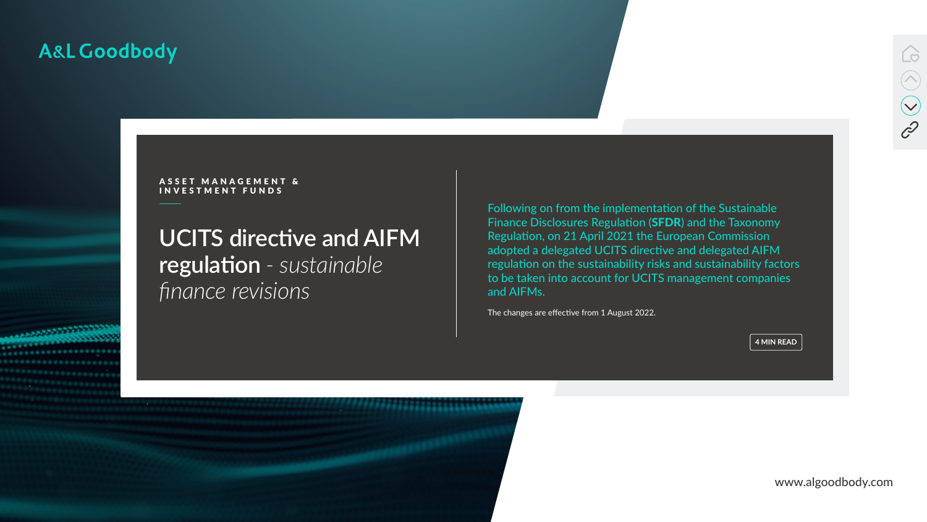www.algoodbody.com



# **UCITS directive and AIFM regulation** *- sustainable finance revisions*

## A&L Goodbody



ASSET MANAGEMENT & I N V E S T M E N T F U N D S

> Following on from the implementation of the Sustainable Finance Disclosures Regulation (SFDR) and the Taxonomy Regulation, on 21 April 2021 the European Commission adopted a delegated UCITS directive and delegated AIFM regulation on the sustainability risks and sustainability factors to be taken into account for UCITS management companies and AIFMs.

The changes are effective from 1 August 2022.

**4 MIN READ**

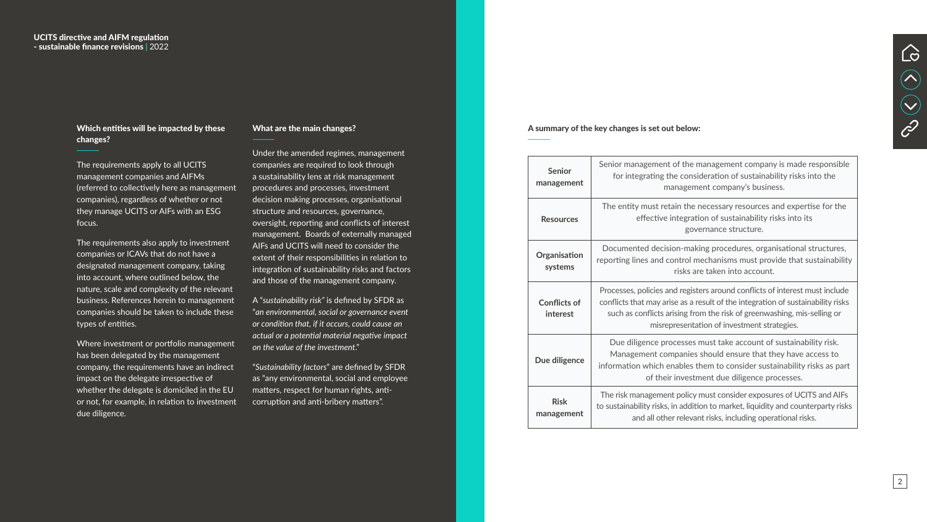| <b>Senior</b><br>management     | Senior management of the management company is made responsible<br>for integrating the consideration of sustainability risks into the<br>management company's business.                                                                                                                  |
|---------------------------------|------------------------------------------------------------------------------------------------------------------------------------------------------------------------------------------------------------------------------------------------------------------------------------------|
| <b>Resources</b>                | The entity must retain the necessary resources and expertise for the<br>effective integration of sustainability risks into its<br>governance structure.                                                                                                                                  |
| Organisation<br>systems         | Documented decision-making procedures, organisational structures,<br>reporting lines and control mechanisms must provide that sustainability<br>risks are taken into account.                                                                                                            |
| <b>Conflicts of</b><br>interest | Processes, policies and registers around conflicts of interest must include<br>conflicts that may arise as a result of the integration of sustainability risks<br>such as conflicts arising from the risk of greenwashing, mis-selling or<br>misrepresentation of investment strategies. |
| Due diligence                   | Due diligence processes must take account of sustainability risk.<br>Management companies should ensure that they have access to<br>information which enables them to consider sustainability risks as part<br>of their investment due diligence processes.                              |
| <b>Risk</b><br>management       | The risk management policy must consider exposures of UCITS and AIFs<br>to sustainability risks, in addition to market, liquidity and counterparty risks<br>and all other relevant risks, including operational risks.                                                                   |



#### A summary of the key changes is set out below:



#### Which entities will be impacted by these changes?

The requirements apply to all UCITS management companies and AIFMs (referred to collectively here as management companies), regardless of whether or not they manage UCITS or AIFs with an ESG focus.

The requirements also apply to investment companies or ICAVs that do not have a designated management company, taking into account, where outlined below, the nature, scale and complexity of the relevant business. References herein to management companies should be taken to include these types of entities.

Where investment or portfolio management has been delegated by the management company, the requirements have an indirect impact on the delegate irrespective of whether the delegate is domiciled in the EU or not, for example, in relation to investment due diligence.

#### What are the main changes?

Under the amended regimes, management companies are required to look through a sustainability lens at risk management procedures and processes, investment decision making processes, organisational structure and resources, governance, oversight, reporting and conflicts of interest management. Boards of externally managed AIFs and UCITS will need to consider the extent of their responsibilities in relation to integration of sustainability risks and factors and those of the management company.

A "*sustainability risk"* is defined by SFDR as "*an environmental, social or governance event or condition that, if it occurs, could cause an actual or a potential material negative impact on the value of the investment*."

"*Sustainability factors*" are defined by SFDR as "any environmental, social and employee matters, respect for human rights, anticorruption and anti-bribery matters".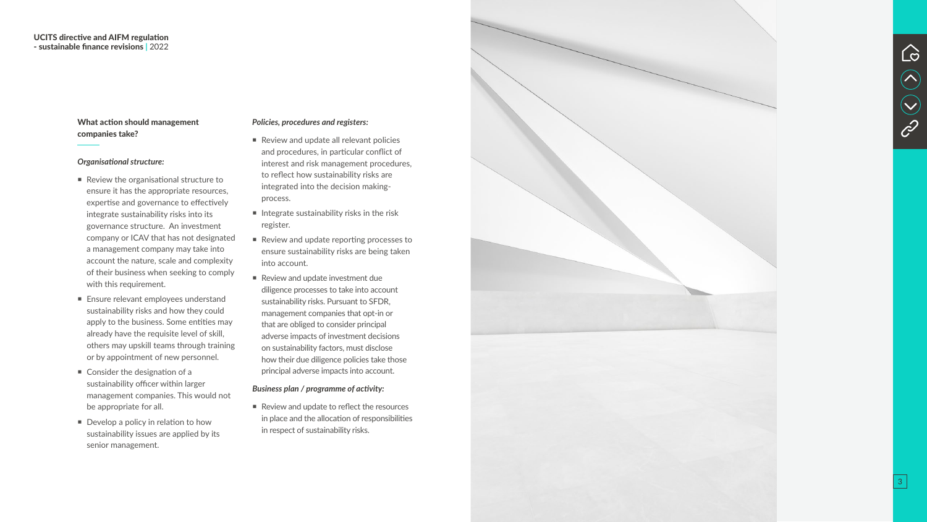#### What action should management companies take?

#### *Organisational structure:*

- Review the organisational structure to ensure it has the appropriate resources, expertise and governance to effectively integrate sustainability risks into its governance structure. An investment company or ICAV that has not designated a management company may take into account the nature, scale and complexity of their business when seeking to comply with this requirement.
- **Ensure relevant employees understand** sustainability risks and how they could apply to the business. Some entities may already have the requisite level of skill, others may upskill teams through training or by appointment of new personnel.
- Consider the designation of a sustainability officer within larger management companies. This would not be appropriate for all.
- Develop a policy in relation to how sustainability issues are applied by its senior management.
- Review and update all relevant policies and procedures, in particular conflict of interest and risk management procedures, to reflect how sustainability risks are integrated into the decision makingprocess.
- $\blacksquare$  Integrate sustainability risks in the risk register.
- Review and update reporting processes to ensure sustainability risks are being taken into account.
- Review and update investment due diligence processes to take into account sustainability risks. Pursuant to SFDR, management companies that opt-in or that are obliged to consider principal adverse impacts of investment decisions on sustainability factors, must disclose how their due diligence policies take those principal adverse impacts into account.

Review and update to reflect the resources in place and the allocation of responsibilities in respect of sustainability risks.





#### *Policies, procedures and registers:*

#### *Business plan / programme of activity:*

3